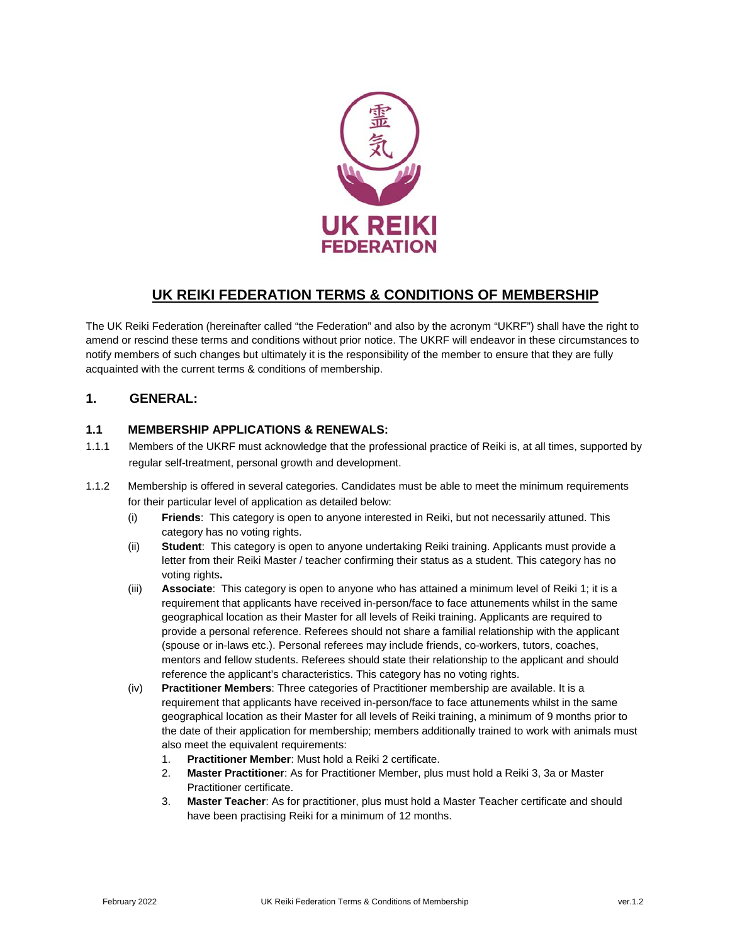

# **UK REIKI FEDERATION TERMS & CONDITIONS OF MEMBERSHIP**

The UK Reiki Federation (hereinafter called "the Federation" and also by the acronym "UKRF") shall have the right to amend or rescind these terms and conditions without prior notice. The UKRF will endeavor in these circumstances to notify members of such changes but ultimately it is the responsibility of the member to ensure that they are fully acquainted with the current terms & conditions of membership.

### **1. GENERAL:**

### **1.1 MEMBERSHIP APPLICATIONS & RENEWALS:**

- 1.1.1 Members of the UKRF must acknowledge that the professional practice of Reiki is, at all times, supported by regular self-treatment, personal growth and development.
- 1.1.2 Membership is offered in several categories. Candidates must be able to meet the minimum requirements for their particular level of application as detailed below:
	- (i) **Friends**: This category is open to anyone interested in Reiki, but not necessarily attuned. This category has no voting rights.
	- (ii) **Student**: This category is open to anyone undertaking Reiki training. Applicants must provide a letter from their Reiki Master / teacher confirming their status as a student. This category has no voting rights**.**
	- (iii) **Associate**: This category is open to anyone who has attained a minimum level of Reiki 1; it is a requirement that applicants have received in-person/face to face attunements whilst in the same geographical location as their Master for all levels of Reiki training. Applicants are required to provide a personal reference. Referees should not share a familial relationship with the applicant (spouse or in-laws etc.). Personal referees may include friends, co-workers, tutors, coaches, mentors and fellow students. Referees should state their relationship to the applicant and should reference the applicant's characteristics. This category has no voting rights.
	- (iv) **Practitioner Members**: Three categories of Practitioner membership are available. It is a requirement that applicants have received in-person/face to face attunements whilst in the same geographical location as their Master for all levels of Reiki training, a minimum of 9 months prior to the date of their application for membership; members additionally trained to work with animals must also meet the equivalent requirements:
		- 1. **Practitioner Member**: Must hold a Reiki 2 certificate.
		- 2. **Master Practitioner**: As for Practitioner Member, plus must hold a Reiki 3, 3a or Master Practitioner certificate.
		- 3. **Master Teacher**: As for practitioner, plus must hold a Master Teacher certificate and should have been practising Reiki for a minimum of 12 months.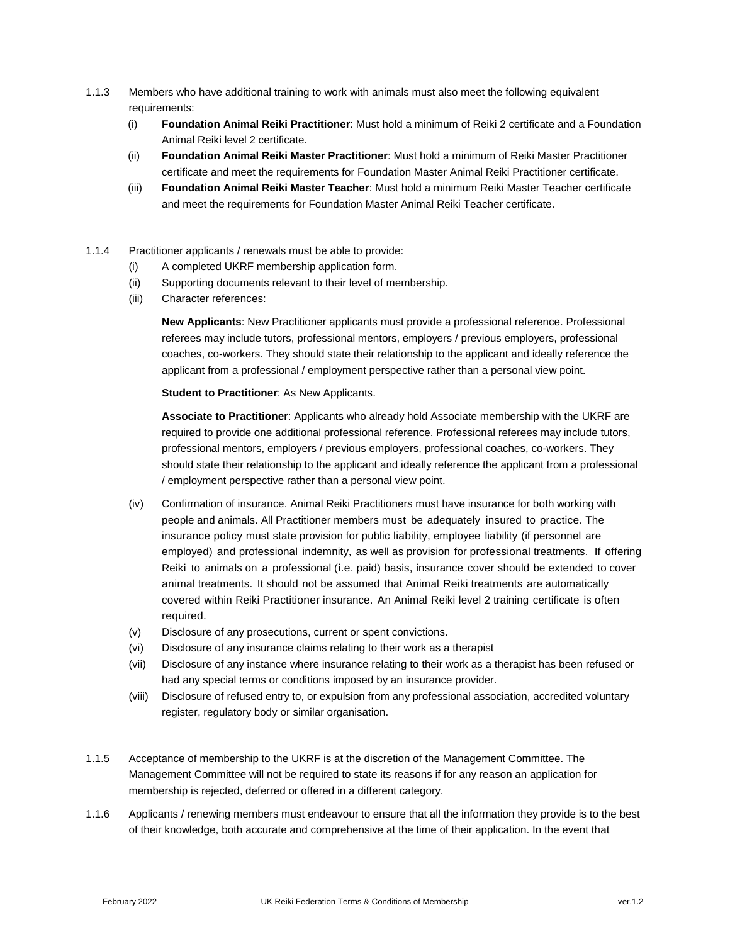- 1.1.3 Members who have additional training to work with animals must also meet the following equivalent requirements:
	- (i) **Foundation Animal Reiki Practitioner**: Must hold a minimum of Reiki 2 certificate and a Foundation Animal Reiki level 2 certificate.
	- (ii) **Foundation Animal Reiki Master Practitioner**: Must hold a minimum of Reiki Master Practitioner certificate and meet the requirements for Foundation Master Animal Reiki Practitioner certificate.
	- (iii) **Foundation Animal Reiki Master Teacher**: Must hold a minimum Reiki Master Teacher certificate and meet the requirements for Foundation Master Animal Reiki Teacher certificate.
- 1.1.4 Practitioner applicants / renewals must be able to provide:
	- (i) A completed UKRF membership application form.
	- (ii) Supporting documents relevant to their level of membership.
	- (iii) Character references:

**New Applicants**: New Practitioner applicants must provide a professional reference. Professional referees may include tutors, professional mentors, employers / previous employers, professional coaches, co-workers. They should state their relationship to the applicant and ideally reference the applicant from a professional / employment perspective rather than a personal view point.

**Student to Practitioner**: As New Applicants.

**Associate to Practitioner**: Applicants who already hold Associate membership with the UKRF are required to provide one additional professional reference. Professional referees may include tutors, professional mentors, employers / previous employers, professional coaches, co-workers. They should state their relationship to the applicant and ideally reference the applicant from a professional / employment perspective rather than a personal view point.

- (iv) Confirmation of insurance. Animal Reiki Practitioners must have insurance for both working with people and animals. All Practitioner members must be adequately insured to practice. The insurance policy must state provision for public liability, employee liability (if personnel are employed) and professional indemnity, as well as provision for professional treatments. If offering Reiki to animals on a professional (i.e. paid) basis, insurance cover should be extended to cover animal treatments. It should not be assumed that Animal Reiki treatments are automatically covered within Reiki Practitioner insurance. An Animal Reiki level 2 training certificate is often required.
- (v) Disclosure of any prosecutions, current or spent convictions.
- (vi) Disclosure of any insurance claims relating to their work as a therapist
- (vii) Disclosure of any instance where insurance relating to their work as a therapist has been refused or had any special terms or conditions imposed by an insurance provider.
- (viii) Disclosure of refused entry to, or expulsion from any professional association, accredited voluntary register, regulatory body or similar organisation.
- 1.1.5 Acceptance of membership to the UKRF is at the discretion of the Management Committee. The Management Committee will not be required to state its reasons if for any reason an application for membership is rejected, deferred or offered in a different category.
- 1.1.6 Applicants / renewing members must endeavour to ensure that all the information they provide is to the best of their knowledge, both accurate and comprehensive at the time of their application. In the event that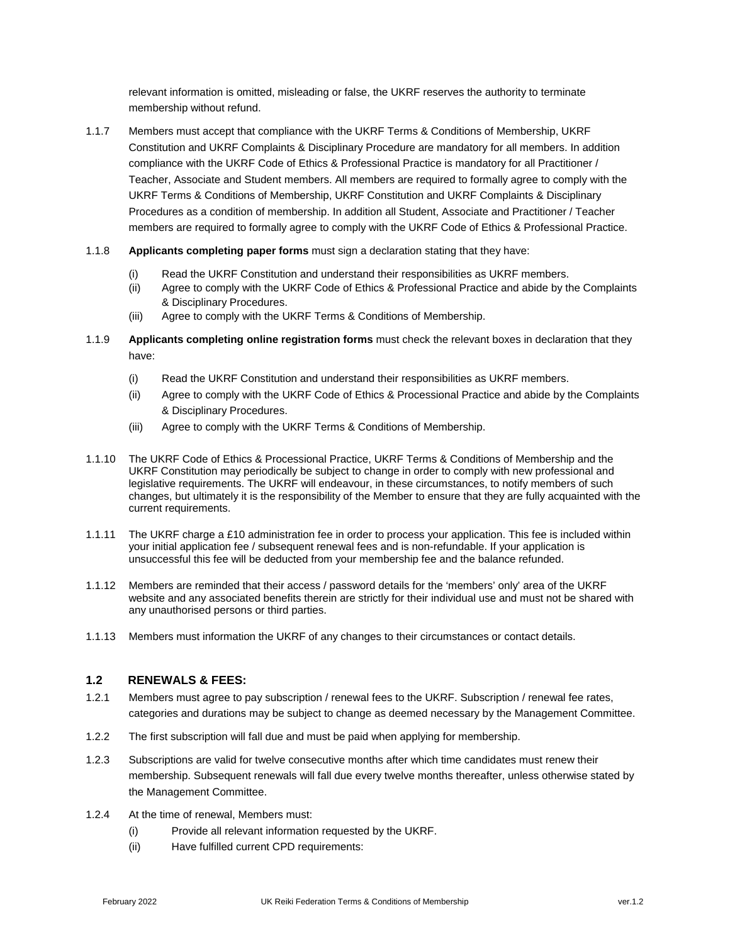relevant information is omitted, misleading or false, the UKRF reserves the authority to terminate membership without refund.

1.1.7 Members must accept that compliance with the UKRF Terms & Conditions of Membership, UKRF Constitution and UKRF Complaints & Disciplinary Procedure are mandatory for all members. In addition compliance with the UKRF Code of Ethics & Professional Practice is mandatory for all Practitioner / Teacher, Associate and Student members. All members are required to formally agree to comply with the UKRF Terms & Conditions of Membership, UKRF Constitution and UKRF Complaints & Disciplinary Procedures as a condition of membership. In addition all Student, Associate and Practitioner / Teacher members are required to formally agree to comply with the UKRF Code of Ethics & Professional Practice.

#### 1.1.8 **Applicants completing paper forms** must sign a declaration stating that they have:

- (i) Read the UKRF Constitution and understand their responsibilities as UKRF members.
- (ii) Agree to comply with the UKRF Code of Ethics & Professional Practice and abide by the Complaints & Disciplinary Procedures.
- (iii) Agree to comply with the UKRF Terms & Conditions of Membership.
- 1.1.9 **Applicants completing online registration forms** must check the relevant boxes in declaration that they have:
	- (i) Read the UKRF Constitution and understand their responsibilities as UKRF members.
	- (ii) Agree to comply with the UKRF Code of Ethics & Processional Practice and abide by the Complaints & Disciplinary Procedures.
	- (iii) Agree to comply with the UKRF Terms & Conditions of Membership.
- 1.1.10 The UKRF Code of Ethics & Processional Practice, UKRF Terms & Conditions of Membership and the UKRF Constitution may periodically be subject to change in order to comply with new professional and legislative requirements. The UKRF will endeavour, in these circumstances, to notify members of such changes, but ultimately it is the responsibility of the Member to ensure that they are fully acquainted with the current requirements.
- 1.1.11 The UKRF charge a £10 administration fee in order to process your application. This fee is included within your initial application fee / subsequent renewal fees and is non-refundable. If your application is unsuccessful this fee will be deducted from your membership fee and the balance refunded.
- 1.1.12 Members are reminded that their access / password details for the 'members' only' area of the UKRF website and any associated benefits therein are strictly for their individual use and must not be shared with any unauthorised persons or third parties.
- 1.1.13 Members must information the UKRF of any changes to their circumstances or contact details.

#### **1.2 RENEWALS & FEES:**

- 1.2.1 Members must agree to pay subscription / renewal fees to the UKRF. Subscription / renewal fee rates, categories and durations may be subject to change as deemed necessary by the Management Committee.
- 1.2.2 The first subscription will fall due and must be paid when applying for membership.
- 1.2.3 Subscriptions are valid for twelve consecutive months after which time candidates must renew their membership. Subsequent renewals will fall due every twelve months thereafter, unless otherwise stated by the Management Committee.
- 1.2.4 At the time of renewal, Members must:
	- (i) Provide all relevant information requested by the UKRF.
	- (ii) Have fulfilled current CPD requirements: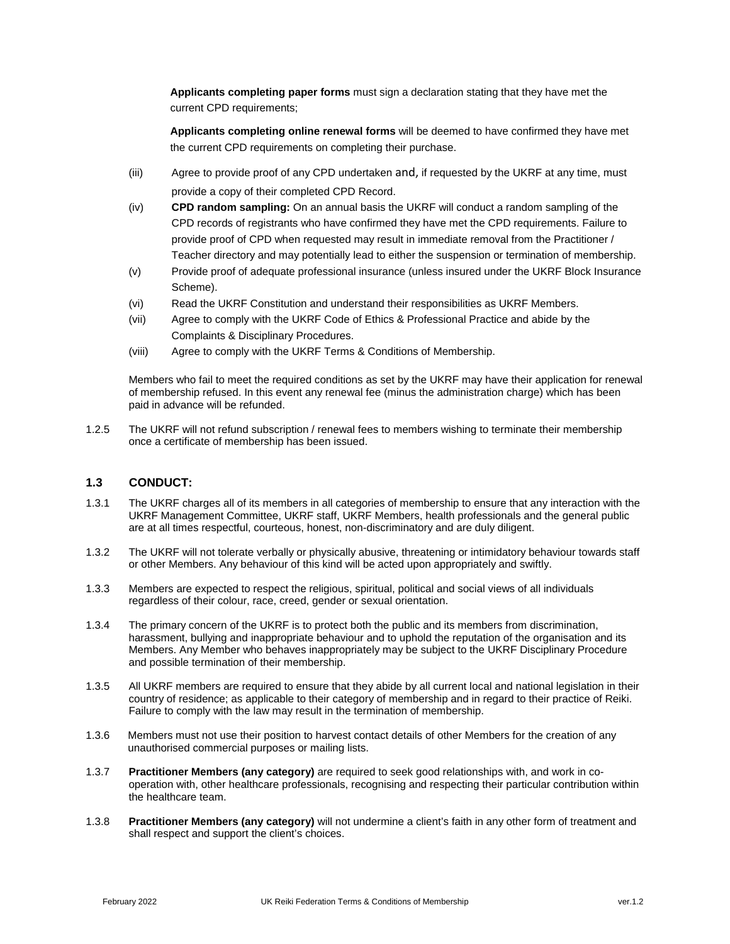**Applicants completing paper forms** must sign a declaration stating that they have met the current CPD requirements;

**Applicants completing online renewal forms** will be deemed to have confirmed they have met the current CPD requirements on completing their purchase.

- (iii) Agree to provide proof of any CPD undertaken and, if requested by the UKRF at any time, must provide a copy of their completed CPD Record.
- (iv) **CPD random sampling:** On an annual basis the UKRF will conduct a random sampling of the CPD records of registrants who have confirmed they have met the CPD requirements. Failure to provide proof of CPD when requested may result in immediate removal from the Practitioner / Teacher directory and may potentially lead to either the suspension or termination of membership.
- (v) Provide proof of adequate professional insurance (unless insured under the UKRF Block Insurance Scheme).
- (vi) Read the UKRF Constitution and understand their responsibilities as UKRF Members.
- (vii) Agree to comply with the UKRF Code of Ethics & Professional Practice and abide by the Complaints & Disciplinary Procedures.
- (viii) Agree to comply with the UKRF Terms & Conditions of Membership.

Members who fail to meet the required conditions as set by the UKRF may have their application for renewal of membership refused. In this event any renewal fee (minus the administration charge) which has been paid in advance will be refunded.

1.2.5 The UKRF will not refund subscription / renewal fees to members wishing to terminate their membership once a certificate of membership has been issued.

#### **1.3 CONDUCT:**

- 1.3.1 The UKRF charges all of its members in all categories of membership to ensure that any interaction with the UKRF Management Committee, UKRF staff, UKRF Members, health professionals and the general public are at all times respectful, courteous, honest, non-discriminatory and are duly diligent.
- 1.3.2 The UKRF will not tolerate verbally or physically abusive, threatening or intimidatory behaviour towards staff or other Members. Any behaviour of this kind will be acted upon appropriately and swiftly.
- 1.3.3 Members are expected to respect the religious, spiritual, political and social views of all individuals regardless of their colour, race, creed, gender or sexual orientation.
- 1.3.4 The primary concern of the UKRF is to protect both the public and its members from discrimination, harassment, bullying and inappropriate behaviour and to uphold the reputation of the organisation and its Members. Any Member who behaves inappropriately may be subject to the UKRF Disciplinary Procedure and possible termination of their membership.
- 1.3.5 All UKRF members are required to ensure that they abide by all current local and national legislation in their country of residence; as applicable to their category of membership and in regard to their practice of Reiki. Failure to comply with the law may result in the termination of membership.
- 1.3.6 Members must not use their position to harvest contact details of other Members for the creation of any unauthorised commercial purposes or mailing lists.
- 1.3.7 **Practitioner Members (any category)** are required to seek good relationships with, and work in cooperation with, other healthcare professionals, recognising and respecting their particular contribution within the healthcare team.
- 1.3.8 **Practitioner Members (any category)** will not undermine a client's faith in any other form of treatment and shall respect and support the client's choices.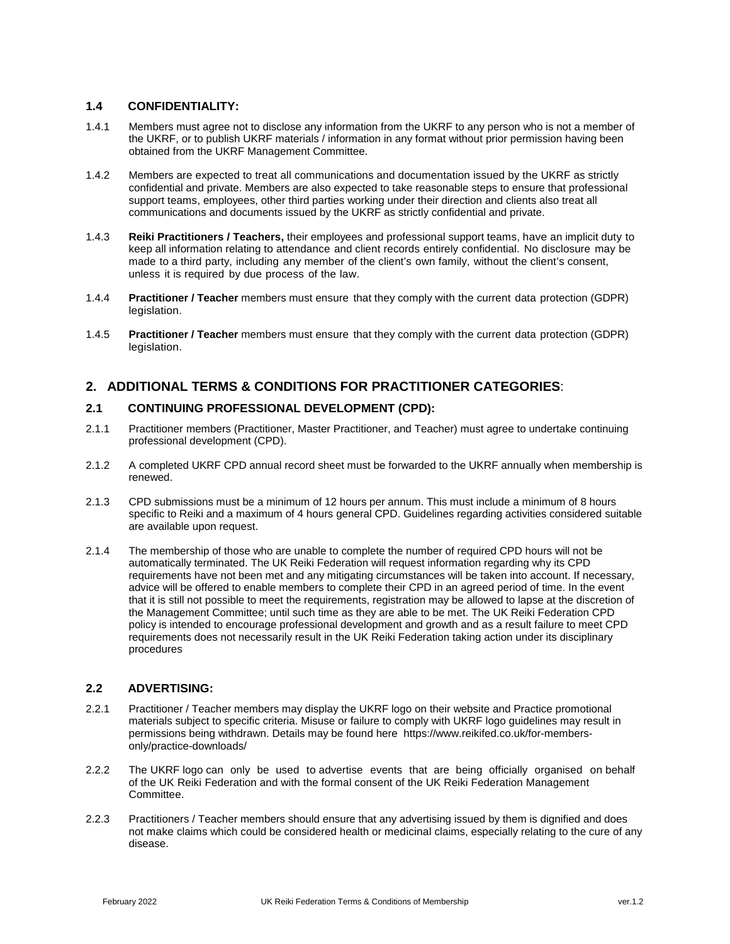#### **1.4 CONFIDENTIALITY:**

- 1.4.1 Members must agree not to disclose any information from the UKRF to any person who is not a member of the UKRF, or to publish UKRF materials / information in any format without prior permission having been obtained from the UKRF Management Committee.
- 1.4.2 Members are expected to treat all communications and documentation issued by the UKRF as strictly confidential and private. Members are also expected to take reasonable steps to ensure that professional support teams, employees, other third parties working under their direction and clients also treat all communications and documents issued by the UKRF as strictly confidential and private.
- 1.4.3 **Reiki Practitioners / Teachers,** their employees and professional support teams, have an implicit duty to keep all information relating to attendance and client records entirely confidential. No disclosure may be made to a third party, including any member of the client's own family, without the client's consent, unless it is required by due process of the law.
- 1.4.4 **Practitioner / Teacher** members must ensure that they comply with the current data protection (GDPR) legislation.
- 1.4.5 **Practitioner / Teacher** members must ensure that they comply with the current data protection (GDPR) legislation.

### **2. ADDITIONAL TERMS & CONDITIONS FOR PRACTITIONER CATEGORIES**:

#### **2.1 CONTINUING PROFESSIONAL DEVELOPMENT (CPD):**

- 2.1.1 Practitioner members (Practitioner, Master Practitioner, and Teacher) must agree to undertake continuing professional development (CPD).
- 2.1.2 A completed UKRF CPD annual record sheet must be forwarded to the UKRF annually when membership is renewed.
- 2.1.3 CPD submissions must be a minimum of 12 hours per annum. This must include a minimum of 8 hours specific to Reiki and a maximum of 4 hours general CPD. Guidelines regarding activities considered suitable are available upon request.
- 2.1.4 The membership of those who are unable to complete the number of required CPD hours will not be automatically terminated. The UK Reiki Federation will request information regarding why its CPD requirements have not been met and any mitigating circumstances will be taken into account. If necessary, advice will be offered to enable members to complete their CPD in an agreed period of time. In the event that it is still not possible to meet the requirements, registration may be allowed to lapse at the discretion of the Management Committee; until such time as they are able to be met. The UK Reiki Federation CPD policy is intended to encourage professional development and growth and as a result failure to meet CPD requirements does not necessarily result in the UK Reiki Federation taking action under its disciplinary procedures

### **2.2 ADVERTISING:**

- 2.2.1 Practitioner / Teacher members may display the UKRF logo on their website and Practice promotional materials subject to specific criteria. Misuse or failure to comply with UKRF logo guidelines may result in permissions being withdrawn. Details may be found here [https://www.reikifed.co.uk/for-members](https://www.reikifed.co.uk/for-members-only/practice-downloads/)[only/practice-downloads/](https://www.reikifed.co.uk/for-members-only/practice-downloads/)
- 2.2.2 The UKRF logo can only be used to advertise events that are being officially organised on behalf of the UK Reiki Federation and with the formal consent of the UK Reiki Federation Management Committee.
- 2.2.3 Practitioners / Teacher members should ensure that any advertising issued by them is dignified and does not make claims which could be considered health or medicinal claims, especially relating to the cure of any disease.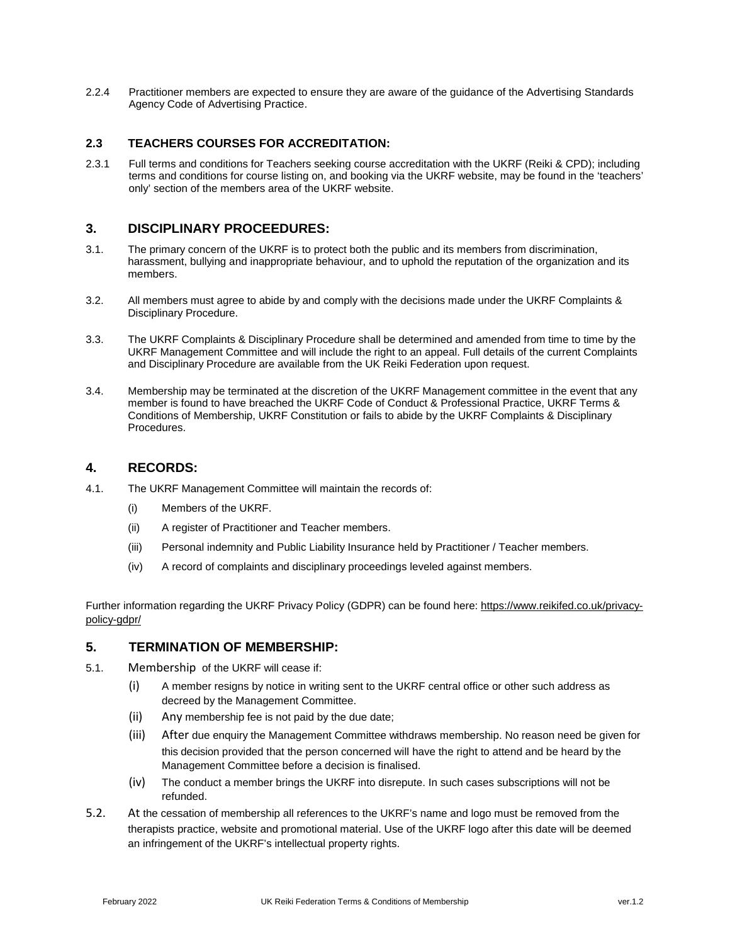2.2.4 Practitioner members are expected to ensure they are aware of the guidance of the Advertising Standards Agency Code of Advertising Practice.

#### **2.3 TEACHERS COURSES FOR ACCREDITATION:**

2.3.1 Full terms and conditions for Teachers seeking course accreditation with the UKRF (Reiki & CPD); including terms and conditions for course listing on, and booking via the UKRF website, may be found in the 'teachers' only' section of the members area of the UKRF website.

## **3. DISCIPLINARY PROCEEDURES:**

- 3.1. The primary concern of the UKRF is to protect both the public and its members from discrimination, harassment, bullying and inappropriate behaviour, and to uphold the reputation of the organization and its members.
- 3.2. All members must agree to abide by and comply with the decisions made under the UKRF Complaints & Disciplinary Procedure.
- 3.3. The UKRF Complaints & Disciplinary Procedure shall be determined and amended from time to time by the UKRF Management Committee and will include the right to an appeal. Full details of the current Complaints and Disciplinary Procedure are available from the UK Reiki Federation upon request.
- 3.4. Membership may be terminated at the discretion of the UKRF Management committee in the event that any member is found to have breached the UKRF Code of Conduct & Professional Practice, UKRF Terms & Conditions of Membership, UKRF Constitution or fails to abide by the UKRF Complaints & Disciplinary Procedures.

### **4. RECORDS:**

- 4.1. The UKRF Management Committee will maintain the records of:
	- (i) Members of the UKRF.
	- (ii) A register of Practitioner and Teacher members.
	- (iii) Personal indemnity and Public Liability Insurance held by Practitioner / Teacher members.
	- (iv) A record of complaints and disciplinary proceedings leveled against members.

Further information regarding the UKRF Privacy Policy (GDPR) can be found here: [https://www.reikifed.co.uk/privacy](https://www.reikifed.co.uk/privacy-policy-gdpr/)[policy-gdpr/](https://www.reikifed.co.uk/privacy-policy-gdpr/)

### **5. TERMINATION OF MEMBERSHIP:**

- 5.1. Membership of the UKRF will cease if:
	- (i) A member resigns by notice in writing sent to the UKRF central office or other such address as decreed by the Management Committee.
	- (ii) Any membership fee is not paid by the due date;
	- (iii) After due enquiry the Management Committee withdraws membership. No reason need be given for this decision provided that the person concerned will have the right to attend and be heard by the Management Committee before a decision is finalised.
	- (iv) The conduct a member brings the UKRF into disrepute. In such cases subscriptions will not be refunded.
- 5.2. At the cessation of membership all references to the UKRF's name and logo must be removed from the therapists practice, website and promotional material. Use of the UKRF logo after this date will be deemed an infringement of the UKRF's intellectual property rights.